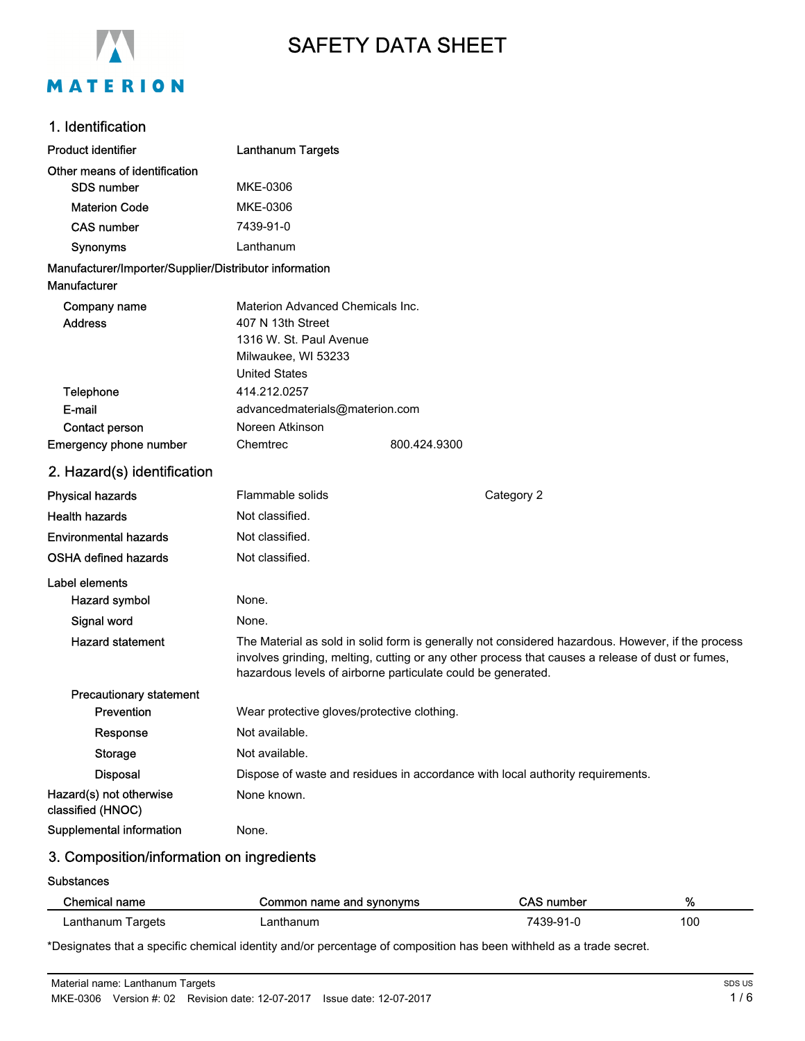

# SAFETY DATA SHEET

## 1. Identification

| <b>Product identifier</b>                              | <b>Lanthanum Targets</b>                    |                                                                                                                                                                                                                                                                       |
|--------------------------------------------------------|---------------------------------------------|-----------------------------------------------------------------------------------------------------------------------------------------------------------------------------------------------------------------------------------------------------------------------|
| Other means of identification                          |                                             |                                                                                                                                                                                                                                                                       |
| SDS number                                             | MKE-0306                                    |                                                                                                                                                                                                                                                                       |
| <b>Materion Code</b>                                   | MKE-0306                                    |                                                                                                                                                                                                                                                                       |
| <b>CAS number</b>                                      | 7439-91-0                                   |                                                                                                                                                                                                                                                                       |
| <b>Synonyms</b>                                        | Lanthanum                                   |                                                                                                                                                                                                                                                                       |
| Manufacturer/Importer/Supplier/Distributor information |                                             |                                                                                                                                                                                                                                                                       |
| Manufacturer                                           |                                             |                                                                                                                                                                                                                                                                       |
| Company name                                           | Materion Advanced Chemicals Inc.            |                                                                                                                                                                                                                                                                       |
| <b>Address</b>                                         | 407 N 13th Street                           |                                                                                                                                                                                                                                                                       |
|                                                        | 1316 W. St. Paul Avenue                     |                                                                                                                                                                                                                                                                       |
|                                                        | Milwaukee, WI 53233<br><b>United States</b> |                                                                                                                                                                                                                                                                       |
| <b>Telephone</b>                                       | 414.212.0257                                |                                                                                                                                                                                                                                                                       |
| E-mail                                                 | advancedmaterials@materion.com              |                                                                                                                                                                                                                                                                       |
| Contact person                                         | Noreen Atkinson                             |                                                                                                                                                                                                                                                                       |
| <b>Emergency phone number</b>                          | Chemtrec                                    | 800.424.9300                                                                                                                                                                                                                                                          |
| 2. Hazard(s) identification                            |                                             |                                                                                                                                                                                                                                                                       |
| <b>Physical hazards</b>                                | Flammable solids                            | Category 2                                                                                                                                                                                                                                                            |
| <b>Health hazards</b>                                  | Not classified.                             |                                                                                                                                                                                                                                                                       |
| <b>Environmental hazards</b>                           | Not classified.                             |                                                                                                                                                                                                                                                                       |
| <b>OSHA defined hazards</b>                            | Not classified.                             |                                                                                                                                                                                                                                                                       |
| Label elements                                         |                                             |                                                                                                                                                                                                                                                                       |
| Hazard symbol                                          | None.                                       |                                                                                                                                                                                                                                                                       |
| Signal word                                            | None.                                       |                                                                                                                                                                                                                                                                       |
| <b>Hazard statement</b>                                |                                             | The Material as sold in solid form is generally not considered hazardous. However, if the process<br>involves grinding, melting, cutting or any other process that causes a release of dust or fumes,<br>hazardous levels of airborne particulate could be generated. |
| <b>Precautionary statement</b>                         |                                             |                                                                                                                                                                                                                                                                       |
| <b>Prevention</b>                                      | Wear protective gloves/protective clothing. |                                                                                                                                                                                                                                                                       |
| Response                                               | Not available.                              |                                                                                                                                                                                                                                                                       |
| Storage                                                | Not available.                              |                                                                                                                                                                                                                                                                       |
| <b>Disposal</b>                                        |                                             | Dispose of waste and residues in accordance with local authority requirements.                                                                                                                                                                                        |
| Hazard(s) not otherwise<br>classified (HNOC)           | None known.                                 |                                                                                                                                                                                                                                                                       |
| Supplemental information                               | None.                                       |                                                                                                                                                                                                                                                                       |
|                                                        |                                             |                                                                                                                                                                                                                                                                       |

# 3. Composition/information on ingredients

#### **Substances**

| Chemical name     | Common name and synonyms | CAS number | %   |
|-------------------|--------------------------|------------|-----|
| ∟anthanum Targets | _anthanum                | 7439-91-0  | 100 |

\*Designates that a specific chemical identity and/or percentage of composition has been withheld as a trade secret.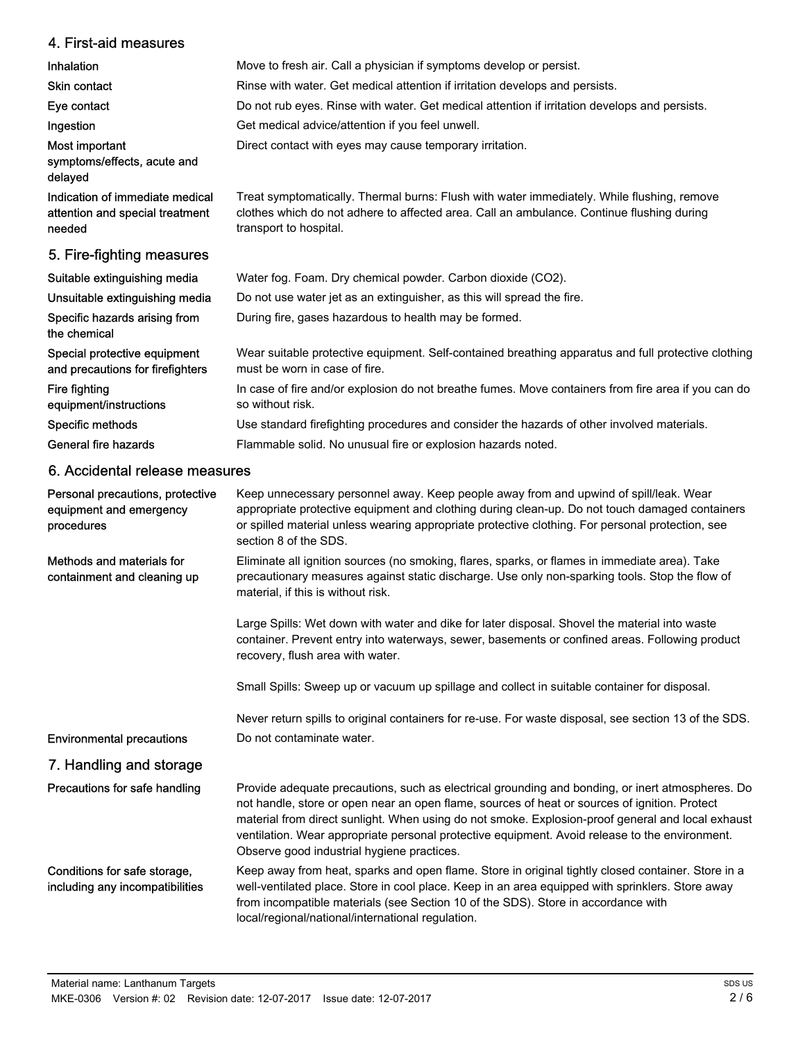| 4. First-aid measures                                                        |                                                                                                                                                                                                                                                                                                                                                                                                                                                        |
|------------------------------------------------------------------------------|--------------------------------------------------------------------------------------------------------------------------------------------------------------------------------------------------------------------------------------------------------------------------------------------------------------------------------------------------------------------------------------------------------------------------------------------------------|
| Inhalation                                                                   | Move to fresh air. Call a physician if symptoms develop or persist.                                                                                                                                                                                                                                                                                                                                                                                    |
| <b>Skin contact</b>                                                          | Rinse with water. Get medical attention if irritation develops and persists.                                                                                                                                                                                                                                                                                                                                                                           |
| Eye contact                                                                  | Do not rub eyes. Rinse with water. Get medical attention if irritation develops and persists.                                                                                                                                                                                                                                                                                                                                                          |
| Ingestion                                                                    | Get medical advice/attention if you feel unwell.                                                                                                                                                                                                                                                                                                                                                                                                       |
| Most important<br>symptoms/effects, acute and<br>delayed                     | Direct contact with eyes may cause temporary irritation.                                                                                                                                                                                                                                                                                                                                                                                               |
| Indication of immediate medical<br>attention and special treatment<br>needed | Treat symptomatically. Thermal burns: Flush with water immediately. While flushing, remove<br>clothes which do not adhere to affected area. Call an ambulance. Continue flushing during<br>transport to hospital.                                                                                                                                                                                                                                      |
| 5. Fire-fighting measures                                                    |                                                                                                                                                                                                                                                                                                                                                                                                                                                        |
| Suitable extinguishing media                                                 | Water fog. Foam. Dry chemical powder. Carbon dioxide (CO2).                                                                                                                                                                                                                                                                                                                                                                                            |
| Unsuitable extinguishing media                                               | Do not use water jet as an extinguisher, as this will spread the fire.                                                                                                                                                                                                                                                                                                                                                                                 |
| Specific hazards arising from<br>the chemical                                | During fire, gases hazardous to health may be formed.                                                                                                                                                                                                                                                                                                                                                                                                  |
| Special protective equipment<br>and precautions for firefighters             | Wear suitable protective equipment. Self-contained breathing apparatus and full protective clothing<br>must be worn in case of fire.                                                                                                                                                                                                                                                                                                                   |
| Fire fighting<br>equipment/instructions                                      | In case of fire and/or explosion do not breathe fumes. Move containers from fire area if you can do<br>so without risk.                                                                                                                                                                                                                                                                                                                                |
| Specific methods                                                             | Use standard firefighting procedures and consider the hazards of other involved materials.                                                                                                                                                                                                                                                                                                                                                             |
| General fire hazards                                                         | Flammable solid. No unusual fire or explosion hazards noted.                                                                                                                                                                                                                                                                                                                                                                                           |
| 6. Accidental release measures                                               |                                                                                                                                                                                                                                                                                                                                                                                                                                                        |
| Personal precautions, protective<br>equipment and emergency<br>procedures    | Keep unnecessary personnel away. Keep people away from and upwind of spill/leak. Wear<br>appropriate protective equipment and clothing during clean-up. Do not touch damaged containers<br>or spilled material unless wearing appropriate protective clothing. For personal protection, see<br>section 8 of the SDS.                                                                                                                                   |
| Methods and materials for<br>containment and cleaning up                     | Eliminate all ignition sources (no smoking, flares, sparks, or flames in immediate area). Take<br>precautionary measures against static discharge. Use only non-sparking tools. Stop the flow of<br>material, if this is without risk.                                                                                                                                                                                                                 |
|                                                                              | Large Spills: Wet down with water and dike for later disposal. Shovel the material into waste<br>container. Prevent entry into waterways, sewer, basements or confined areas. Following product<br>recovery, flush area with water.                                                                                                                                                                                                                    |
|                                                                              | Small Spills: Sweep up or vacuum up spillage and collect in suitable container for disposal.                                                                                                                                                                                                                                                                                                                                                           |
|                                                                              | Never return spills to original containers for re-use. For waste disposal, see section 13 of the SDS.                                                                                                                                                                                                                                                                                                                                                  |
| <b>Environmental precautions</b>                                             | Do not contaminate water.                                                                                                                                                                                                                                                                                                                                                                                                                              |
| 7. Handling and storage                                                      |                                                                                                                                                                                                                                                                                                                                                                                                                                                        |
| Precautions for safe handling                                                | Provide adequate precautions, such as electrical grounding and bonding, or inert atmospheres. Do<br>not handle, store or open near an open flame, sources of heat or sources of ignition. Protect<br>material from direct sunlight. When using do not smoke. Explosion-proof general and local exhaust<br>ventilation. Wear appropriate personal protective equipment. Avoid release to the environment.<br>Observe good industrial hygiene practices. |

Keep away from heat, sparks and open flame. Store in original tightly closed container. Store in a well-ventilated place. Store in cool place. Keep in an area equipped with sprinklers. Store away from incompatible materials (see Section 10 of the SDS). Store in accordance with local/regional/national/international regulation. Conditions for safe storage, including any incompatibilities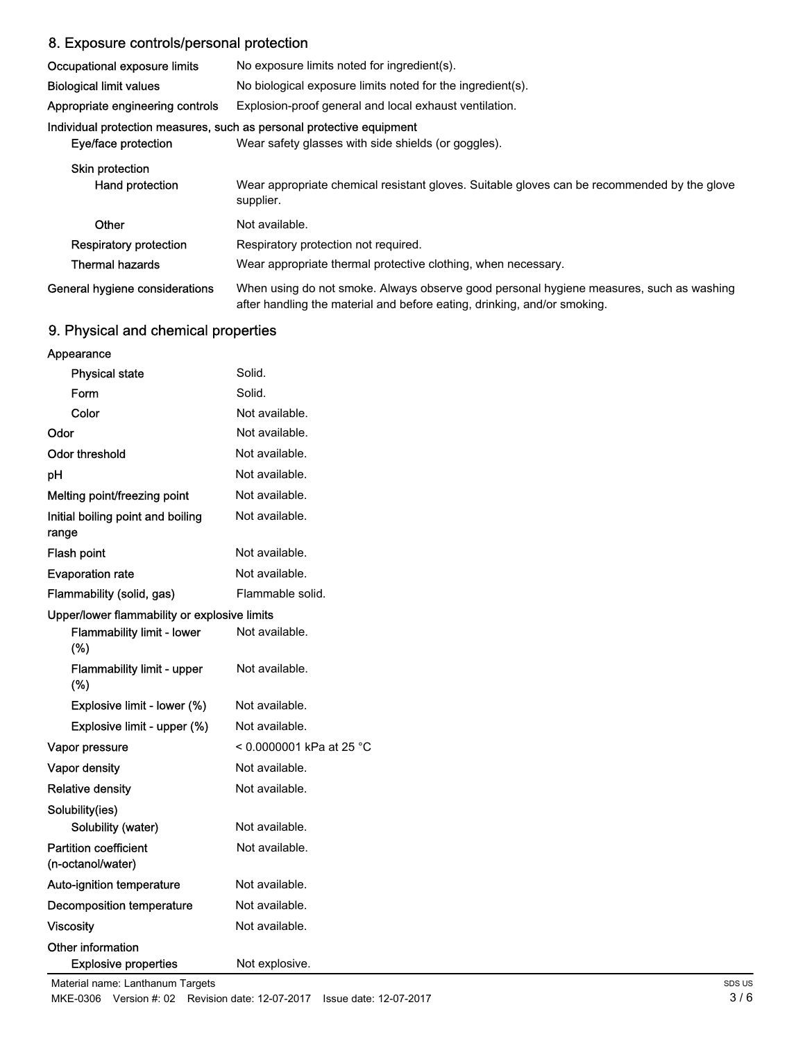# 8. Exposure controls/personal protection

| Occupational exposure limits                                     | No exposure limits noted for ingredient(s).                                                                                                                         |
|------------------------------------------------------------------|---------------------------------------------------------------------------------------------------------------------------------------------------------------------|
| <b>Biological limit values</b>                                   | No biological exposure limits noted for the ingredient(s).                                                                                                          |
| Appropriate engineering controls                                 | Explosion-proof general and local exhaust ventilation.                                                                                                              |
| Eye/face protection                                              | Individual protection measures, such as personal protective equipment<br>Wear safety glasses with side shields (or goggles).                                        |
| <b>Skin protection</b><br>Hand protection                        | Wear appropriate chemical resistant gloves. Suitable gloves can be recommended by the glove<br>supplier.                                                            |
| Other<br><b>Respiratory protection</b><br><b>Thermal hazards</b> | Not available.<br>Respiratory protection not required.<br>Wear appropriate thermal protective clothing, when necessary.                                             |
| General hygiene considerations                                   | When using do not smoke. Always observe good personal hygiene measures, such as washing<br>after handling the material and before eating, drinking, and/or smoking. |

# 9. Physical and chemical properties

| Appearance                                        |                          |
|---------------------------------------------------|--------------------------|
| <b>Physical state</b>                             | Solid.                   |
| Form                                              | Solid.                   |
| Color                                             | Not available.           |
| Odor                                              | Not available.           |
| <b>Odor threshold</b>                             | Not available.           |
| рH                                                | Not available.           |
| Melting point/freezing point                      | Not available.           |
| Initial boiling point and boiling<br>range        | Not available.           |
| Flash point                                       | Not available.           |
| <b>Evaporation rate</b>                           | Not available.           |
| Flammability (solid, gas)                         | Flammable solid.         |
| Upper/lower flammability or explosive limits      |                          |
| <b>Flammability limit - lower</b><br>(%)          | Not available.           |
| <b>Flammability limit - upper</b><br>$(\%)$       | Not available.           |
| Explosive limit - lower (%)                       | Not available.           |
| Explosive limit - upper (%)                       | Not available.           |
| Vapor pressure                                    | < 0.0000001 kPa at 25 °C |
| Vapor density                                     | Not available.           |
| <b>Relative density</b>                           | Not available.           |
| Solubility(ies)                                   |                          |
| Solubility (water)                                | Not available.           |
| <b>Partition coefficient</b><br>(n-octanol/water) | Not available.           |
| Auto-ignition temperature                         | Not available.           |
| Decomposition temperature                         | Not available.           |
| <b>Viscosity</b>                                  | Not available.           |
| Other information                                 |                          |
| <b>Explosive properties</b>                       | Not explosive.           |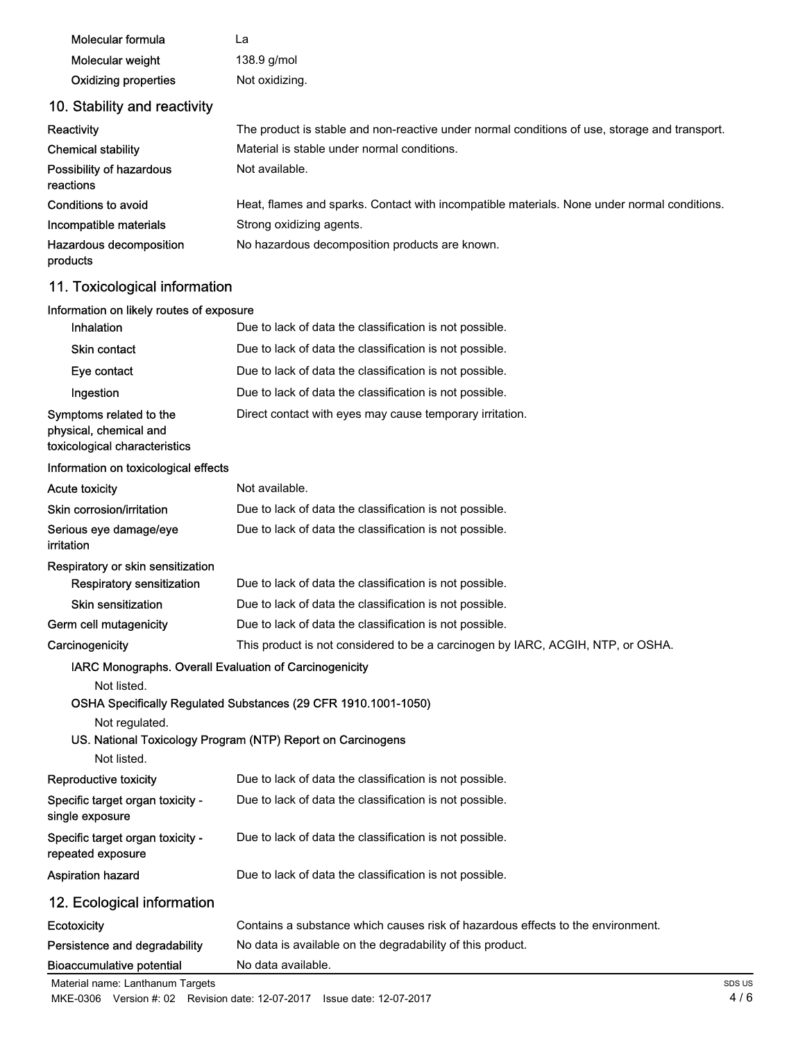| Molecular formula                     | La                                                                                            |
|---------------------------------------|-----------------------------------------------------------------------------------------------|
| Molecular weight                      | 138.9 g/mol                                                                                   |
| <b>Oxidizing properties</b>           | Not oxidizing.                                                                                |
| 10. Stability and reactivity          |                                                                                               |
| Reactivity                            | The product is stable and non-reactive under normal conditions of use, storage and transport. |
| <b>Chemical stability</b>             | Material is stable under normal conditions.                                                   |
| Possibility of hazardous<br>reactions | Not available.                                                                                |
| Conditions to avoid                   | Heat, flames and sparks. Contact with incompatible materials. None under normal conditions.   |
| Incompatible materials                | Strong oxidizing agents.                                                                      |
| Hazardous decomposition<br>products   | No hazardous decomposition products are known.                                                |
| 11. Toxicological information         |                                                                                               |

## Information on likely routes of exposure

| Inhalation                                                                         | Due to lack of data the classification is not possible.                         |
|------------------------------------------------------------------------------------|---------------------------------------------------------------------------------|
| Skin contact                                                                       | Due to lack of data the classification is not possible.                         |
| Eye contact                                                                        | Due to lack of data the classification is not possible.                         |
| Ingestion                                                                          | Due to lack of data the classification is not possible.                         |
| Symptoms related to the<br>physical, chemical and<br>toxicological characteristics | Direct contact with eyes may cause temporary irritation.                        |
| Information on toxicological effects                                               |                                                                                 |
| <b>Acute toxicity</b>                                                              | Not available.                                                                  |
| Skin corrosion/irritation                                                          | Due to lack of data the classification is not possible.                         |
| Serious eye damage/eye<br><i>irritation</i>                                        | Due to lack of data the classification is not possible.                         |
| Respiratory or skin sensitization                                                  |                                                                                 |
| <b>Respiratory sensitization</b>                                                   | Due to lack of data the classification is not possible.                         |
| Skin sensitization                                                                 | Due to lack of data the classification is not possible.                         |
| Germ cell mutagenicity                                                             | Due to lack of data the classification is not possible.                         |
| Carcinogenicity                                                                    | This product is not considered to be a carcinogen by IARC, ACGIH, NTP, or OSHA. |
| IARC Monographs. Overall Evaluation of Carcinogenicity                             |                                                                                 |
| Not listed.                                                                        |                                                                                 |
|                                                                                    | OSHA Specifically Regulated Substances (29 CFR 1910.1001-1050)                  |
| Not regulated.                                                                     | US. National Toxicology Program (NTP) Report on Carcinogens                     |
| Not listed.                                                                        |                                                                                 |
| Reproductive toxicity                                                              | Due to lack of data the classification is not possible.                         |
| Specific target organ toxicity -<br>single exposure                                | Due to lack of data the classification is not possible.                         |
| Specific target organ toxicity -<br>repeated exposure                              | Due to lack of data the classification is not possible.                         |
| <b>Aspiration hazard</b>                                                           | Due to lack of data the classification is not possible.                         |
| 12. Ecological information                                                         |                                                                                 |
| Ecotoxicity                                                                        | Contains a substance which causes risk of hazardous effects to the environment. |
| Persistence and degradability                                                      | No data is available on the degradability of this product.                      |
| <b>Bioaccumulative potential</b>                                                   | No data available.                                                              |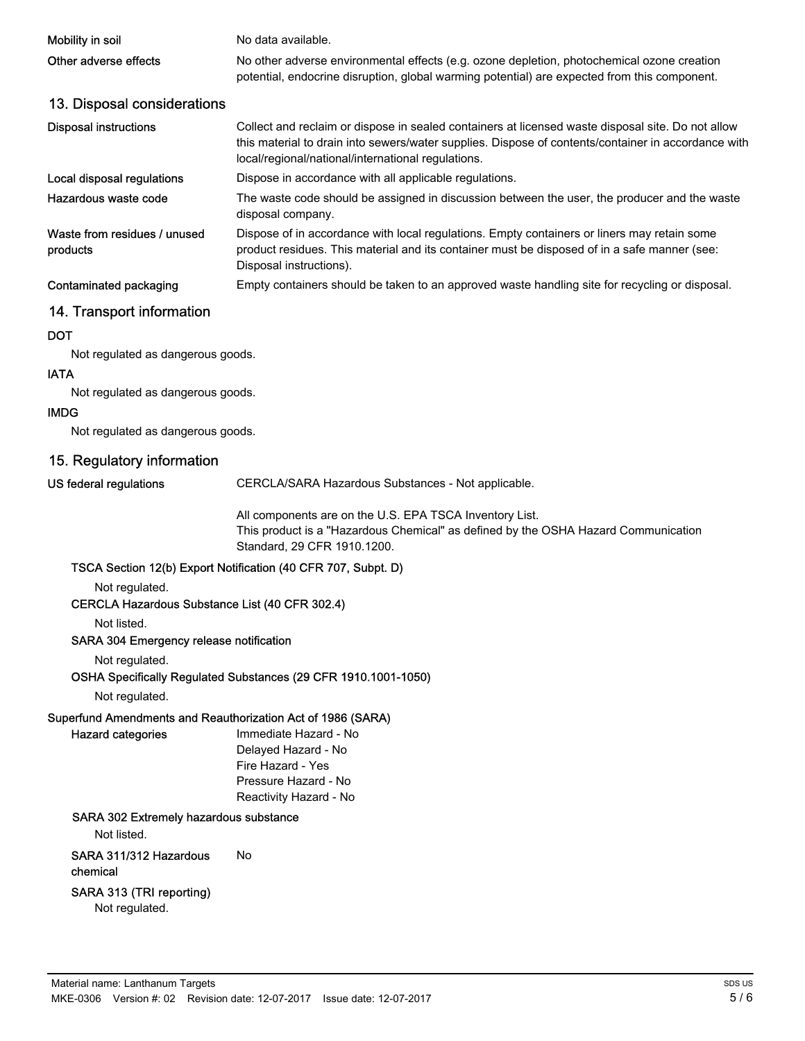| Mobility in soil                         | No data available.                                                                                                                                                                                                                                             |
|------------------------------------------|----------------------------------------------------------------------------------------------------------------------------------------------------------------------------------------------------------------------------------------------------------------|
| Other adverse effects                    | No other adverse environmental effects (e.g. ozone depletion, photochemical ozone creation<br>potential, endocrine disruption, global warming potential) are expected from this component.                                                                     |
| 13. Disposal considerations              |                                                                                                                                                                                                                                                                |
| <b>Disposal instructions</b>             | Collect and reclaim or dispose in sealed containers at licensed waste disposal site. Do not allow<br>this material to drain into sewers/water supplies. Dispose of contents/container in accordance with<br>local/regional/national/international regulations. |
| Local disposal regulations               | Dispose in accordance with all applicable regulations.                                                                                                                                                                                                         |
| Hazardous waste code                     | The waste code should be assigned in discussion between the user, the producer and the waste<br>disposal company.                                                                                                                                              |
| Waste from residues / unused<br>products | Dispose of in accordance with local regulations. Empty containers or liners may retain some<br>product residues. This material and its container must be disposed of in a safe manner (see:<br>Disposal instructions).                                         |
| Contaminated packaging                   | Empty containers should be taken to an approved waste handling site for recycling or disposal.                                                                                                                                                                 |
| 14. Transport information                |                                                                                                                                                                                                                                                                |
| <b>DOT</b>                               |                                                                                                                                                                                                                                                                |
| Not regulated as dangerous goods.        |                                                                                                                                                                                                                                                                |

#### IATA

Not regulated as dangerous goods.

#### IMDG

Not regulated as dangerous goods.

## 15. Regulatory information

US federal regulations

CERCLA/SARA Hazardous Substances - Not applicable.

All components are on the U.S. EPA TSCA Inventory List. This product is a "Hazardous Chemical" as defined by the OSHA Hazard Communication Standard, 29 CFR 1910.1200.

#### TSCA Section 12(b) Export Notification (40 CFR 707, Subpt. D)

Not regulated.

### CERCLA Hazardous Substance List (40 CFR 302.4)

Not listed.

#### SARA 304 Emergency release notification

Not regulated.

#### OSHA Specifically Regulated Substances (29 CFR 1910.1001-1050)

Not regulated.

#### Superfund Amendments and Reauthorization Act of 1986 (SARA) Hazard categories

Immediate Hazard - No Delayed Hazard - No Fire Hazard - Yes Pressure Hazard - No Reactivity Hazard - No

#### SARA 302 Extremely hazardous substance

Not listed.

SARA 311/312 Hazardous No chemical

#### SARA 313 (TRI reporting)

Not regulated.